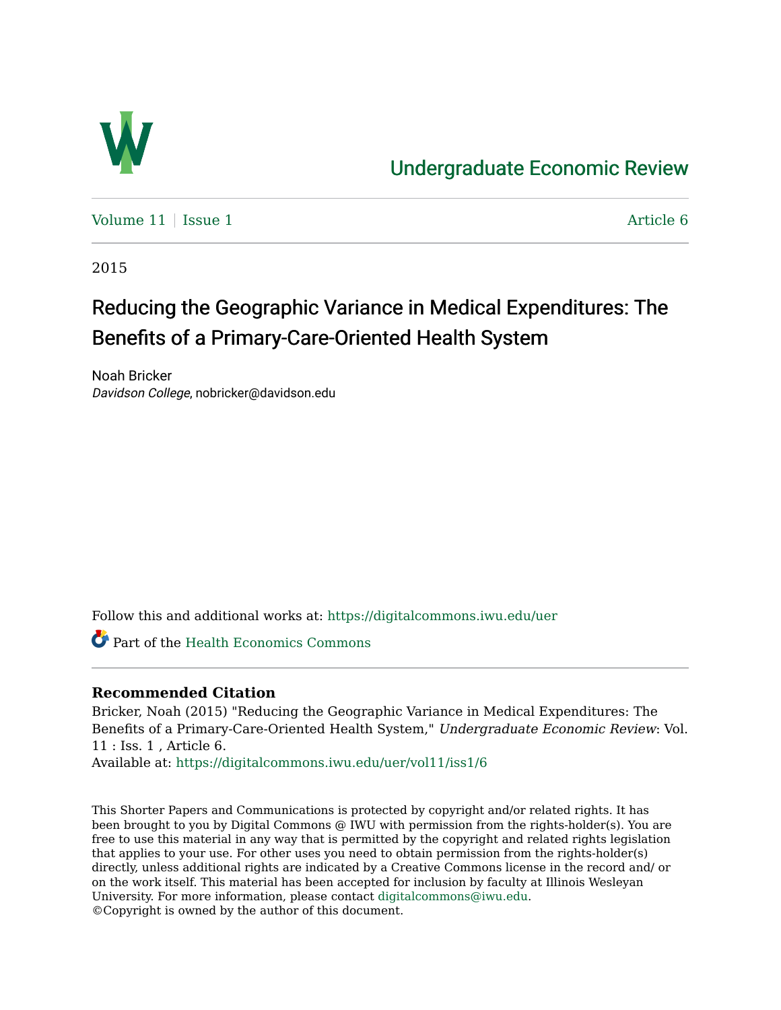

# [Undergraduate Economic Review](https://digitalcommons.iwu.edu/uer)

Volume  $11$  | [Issue 1](https://digitalcommons.iwu.edu/uer/vol11/iss1)  $\blacksquare$ 

2015

# Reducing the Geographic Variance in Medical Expenditures: The Benefits of a Primary-Care-Oriented Health System

Noah Bricker Davidson College, nobricker@davidson.edu

Follow this and additional works at: [https://digitalcommons.iwu.edu/uer](https://digitalcommons.iwu.edu/uer?utm_source=digitalcommons.iwu.edu%2Fuer%2Fvol11%2Fiss1%2F6&utm_medium=PDF&utm_campaign=PDFCoverPages)

Part of the [Health Economics Commons](http://network.bepress.com/hgg/discipline/1085?utm_source=digitalcommons.iwu.edu%2Fuer%2Fvol11%2Fiss1%2F6&utm_medium=PDF&utm_campaign=PDFCoverPages) 

# **Recommended Citation**

Bricker, Noah (2015) "Reducing the Geographic Variance in Medical Expenditures: The Benefits of a Primary-Care-Oriented Health System," Undergraduate Economic Review: Vol. 11 : Iss. 1 , Article 6.

Available at: [https://digitalcommons.iwu.edu/uer/vol11/iss1/6](https://digitalcommons.iwu.edu/uer/vol11/iss1/6?utm_source=digitalcommons.iwu.edu%2Fuer%2Fvol11%2Fiss1%2F6&utm_medium=PDF&utm_campaign=PDFCoverPages)

This Shorter Papers and Communications is protected by copyright and/or related rights. It has been brought to you by Digital Commons @ IWU with permission from the rights-holder(s). You are free to use this material in any way that is permitted by the copyright and related rights legislation that applies to your use. For other uses you need to obtain permission from the rights-holder(s) directly, unless additional rights are indicated by a Creative Commons license in the record and/ or on the work itself. This material has been accepted for inclusion by faculty at Illinois Wesleyan University. For more information, please contact [digitalcommons@iwu.edu](mailto:digitalcommons@iwu.edu). ©Copyright is owned by the author of this document.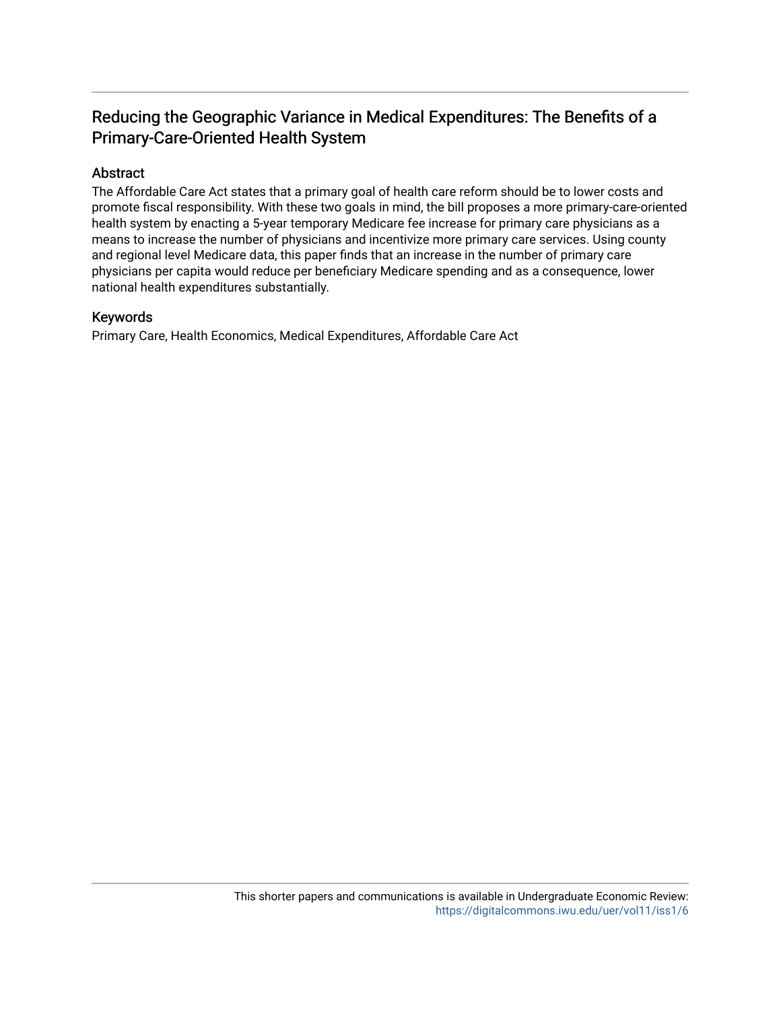# Reducing the Geographic Variance in Medical Expenditures: The Benefits of a Primary-Care-Oriented Health System

## Abstract

The Affordable Care Act states that a primary goal of health care reform should be to lower costs and promote fiscal responsibility. With these two goals in mind, the bill proposes a more primary-care-oriented health system by enacting a 5-year temporary Medicare fee increase for primary care physicians as a means to increase the number of physicians and incentivize more primary care services. Using county and regional level Medicare data, this paper finds that an increase in the number of primary care physicians per capita would reduce per beneficiary Medicare spending and as a consequence, lower national health expenditures substantially.

#### Keywords

Primary Care, Health Economics, Medical Expenditures, Affordable Care Act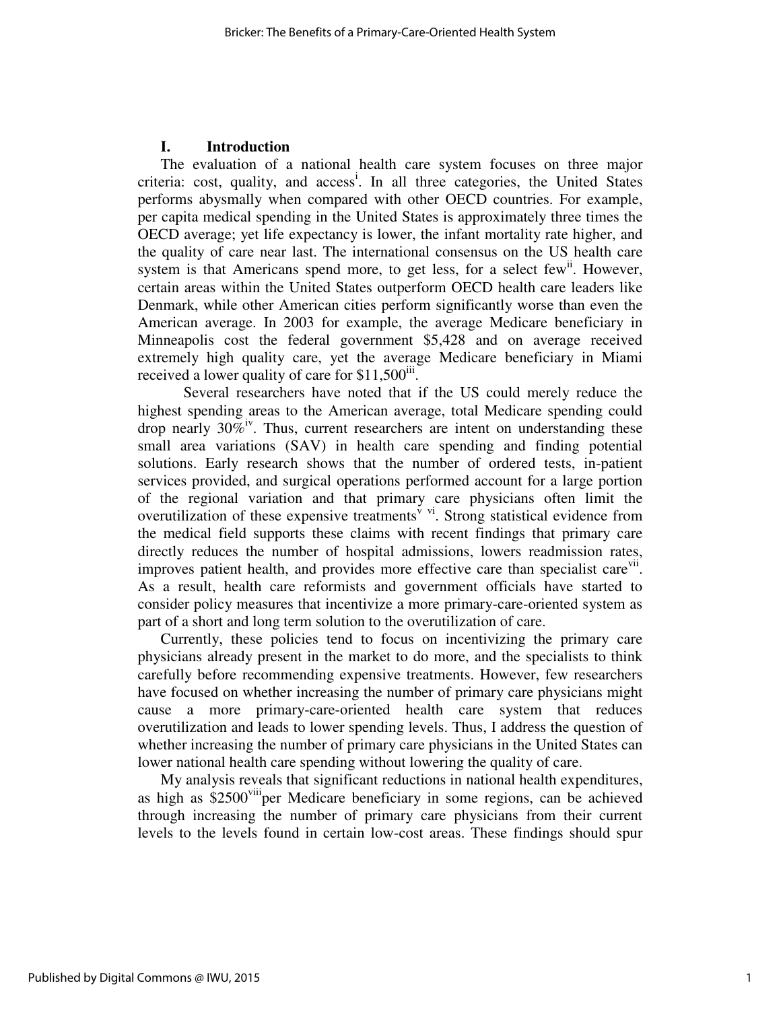## **I. Introduction**

The evaluation of a national health care system focuses on three major criteria: cost, quality, and access<sup>i</sup>. In all three categories, the United States performs abysmally when compared with other OECD countries. For example, per capita medical spending in the United States is approximately three times the OECD average; yet life expectancy is lower, the infant mortality rate higher, and the quality of care near last. The international consensus on the US health care system is that Americans spend more, to get less, for a select few<sup>ii</sup>. However, certain areas within the United States outperform OECD health care leaders like Denmark, while other American cities perform significantly worse than even the American average. In 2003 for example, the average Medicare beneficiary in Minneapolis cost the federal government \$5,428 and on average received extremely high quality care, yet the average Medicare beneficiary in Miami received a lower quality of care for  $$11,500$ <sup>iii</sup>.

 Several researchers have noted that if the US could merely reduce the highest spending areas to the American average, total Medicare spending could drop nearly  $30\%$ <sup>iv</sup>. Thus, current researchers are intent on understanding these small area variations (SAV) in health care spending and finding potential solutions. Early research shows that the number of ordered tests, in-patient services provided, and surgical operations performed account for a large portion of the regional variation and that primary care physicians often limit the overutilization of these expensive treatments<sup> $\vec{v}$  vi. Strong statistical evidence from</sup> the medical field supports these claims with recent findings that primary care directly reduces the number of hospital admissions, lowers readmission rates, improves patient health, and provides more effective care than specialist care<sup>vii</sup>. As a result, health care reformists and government officials have started to consider policy measures that incentivize a more primary-care-oriented system as part of a short and long term solution to the overutilization of care.

Currently, these policies tend to focus on incentivizing the primary care physicians already present in the market to do more, and the specialists to think carefully before recommending expensive treatments. However, few researchers have focused on whether increasing the number of primary care physicians might cause a more primary-care-oriented health care system that reduces overutilization and leads to lower spending levels. Thus, I address the question of whether increasing the number of primary care physicians in the United States can lower national health care spending without lowering the quality of care.

My analysis reveals that significant reductions in national health expenditures, as high as \$2500<sup>viii</sup>per Medicare beneficiary in some regions, can be achieved through increasing the number of primary care physicians from their current levels to the levels found in certain low-cost areas. These findings should spur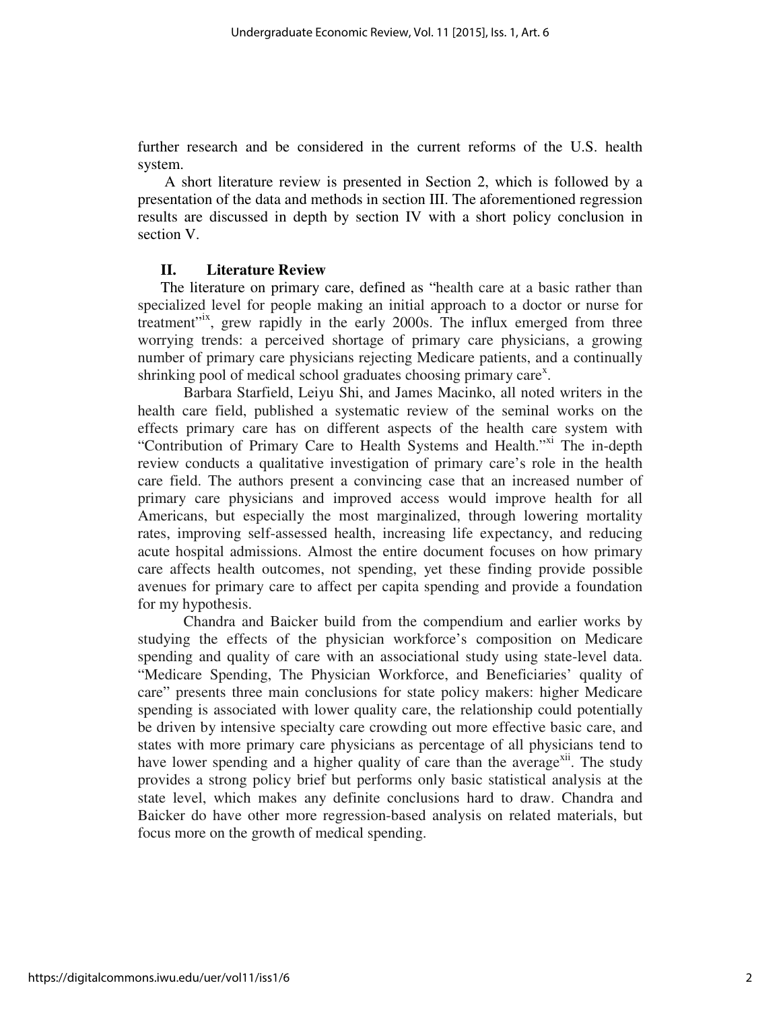further research and be considered in the current reforms of the U.S. health system.

 A short literature review is presented in Section 2, which is followed by a presentation of the data and methods in section III. The aforementioned regression results are discussed in depth by section IV with a short policy conclusion in section V.

#### **II. Literature Review**

The literature on primary care, defined as "health care at a basic rather than specialized level for people making an initial approach to a doctor or nurse for treatment<sup>"<sup>1x</sup>, grew rapidly in the early 2000s. The influx emerged from three</sup> worrying trends: a perceived shortage of primary care physicians, a growing number of primary care physicians rejecting Medicare patients, and a continually shrinking pool of medical school graduates choosing primary care<sup>x</sup>.

 Barbara Starfield, Leiyu Shi, and James Macinko, all noted writers in the health care field, published a systematic review of the seminal works on the effects primary care has on different aspects of the health care system with "Contribution of Primary Care to Health Systems and Health."<sup>xi</sup> The in-depth review conducts a qualitative investigation of primary care's role in the health care field. The authors present a convincing case that an increased number of primary care physicians and improved access would improve health for all Americans, but especially the most marginalized, through lowering mortality rates, improving self-assessed health, increasing life expectancy, and reducing acute hospital admissions. Almost the entire document focuses on how primary care affects health outcomes, not spending, yet these finding provide possible avenues for primary care to affect per capita spending and provide a foundation for my hypothesis.

 Chandra and Baicker build from the compendium and earlier works by studying the effects of the physician workforce's composition on Medicare spending and quality of care with an associational study using state-level data. "Medicare Spending, The Physician Workforce, and Beneficiaries' quality of care" presents three main conclusions for state policy makers: higher Medicare spending is associated with lower quality care, the relationship could potentially be driven by intensive specialty care crowding out more effective basic care, and states with more primary care physicians as percentage of all physicians tend to have lower spending and a higher quality of care than the average<sup>xii</sup>. The study provides a strong policy brief but performs only basic statistical analysis at the state level, which makes any definite conclusions hard to draw. Chandra and Baicker do have other more regression-based analysis on related materials, but focus more on the growth of medical spending.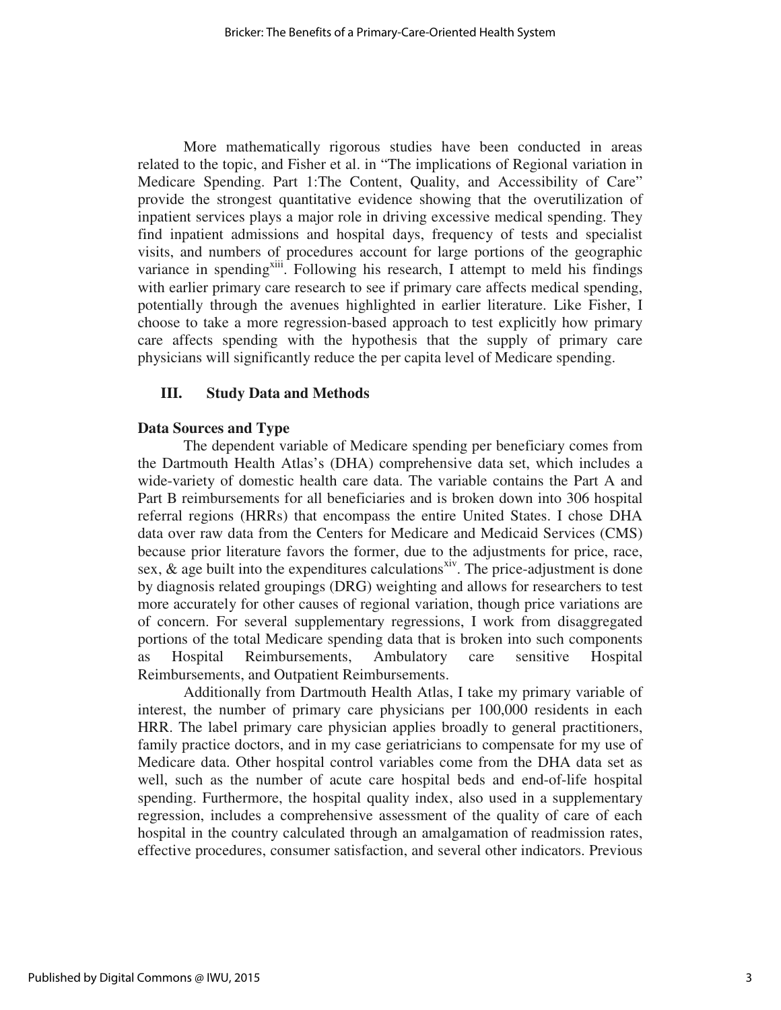More mathematically rigorous studies have been conducted in areas related to the topic, and Fisher et al. in "The implications of Regional variation in Medicare Spending. Part 1:The Content, Quality, and Accessibility of Care" provide the strongest quantitative evidence showing that the overutilization of inpatient services plays a major role in driving excessive medical spending. They find inpatient admissions and hospital days, frequency of tests and specialist visits, and numbers of procedures account for large portions of the geographic variance in spending<sup>xiii</sup>. Following his research, I attempt to meld his findings with earlier primary care research to see if primary care affects medical spending, potentially through the avenues highlighted in earlier literature. Like Fisher, I choose to take a more regression-based approach to test explicitly how primary care affects spending with the hypothesis that the supply of primary care physicians will significantly reduce the per capita level of Medicare spending.

## **III. Study Data and Methods**

### **Data Sources and Type**

The dependent variable of Medicare spending per beneficiary comes from the Dartmouth Health Atlas's (DHA) comprehensive data set, which includes a wide-variety of domestic health care data. The variable contains the Part A and Part B reimbursements for all beneficiaries and is broken down into 306 hospital referral regions (HRRs) that encompass the entire United States. I chose DHA data over raw data from the Centers for Medicare and Medicaid Services (CMS) because prior literature favors the former, due to the adjustments for price, race, sex,  $\&$  age built into the expenditures calculations<sup>xiv</sup>. The price-adjustment is done by diagnosis related groupings (DRG) weighting and allows for researchers to test more accurately for other causes of regional variation, though price variations are of concern. For several supplementary regressions, I work from disaggregated portions of the total Medicare spending data that is broken into such components as Hospital Reimbursements, Ambulatory care sensitive Hospital Reimbursements, and Outpatient Reimbursements.

 Additionally from Dartmouth Health Atlas, I take my primary variable of interest, the number of primary care physicians per 100,000 residents in each HRR. The label primary care physician applies broadly to general practitioners, family practice doctors, and in my case geriatricians to compensate for my use of Medicare data. Other hospital control variables come from the DHA data set as well, such as the number of acute care hospital beds and end-of-life hospital spending. Furthermore, the hospital quality index, also used in a supplementary regression, includes a comprehensive assessment of the quality of care of each hospital in the country calculated through an amalgamation of readmission rates, effective procedures, consumer satisfaction, and several other indicators. Previous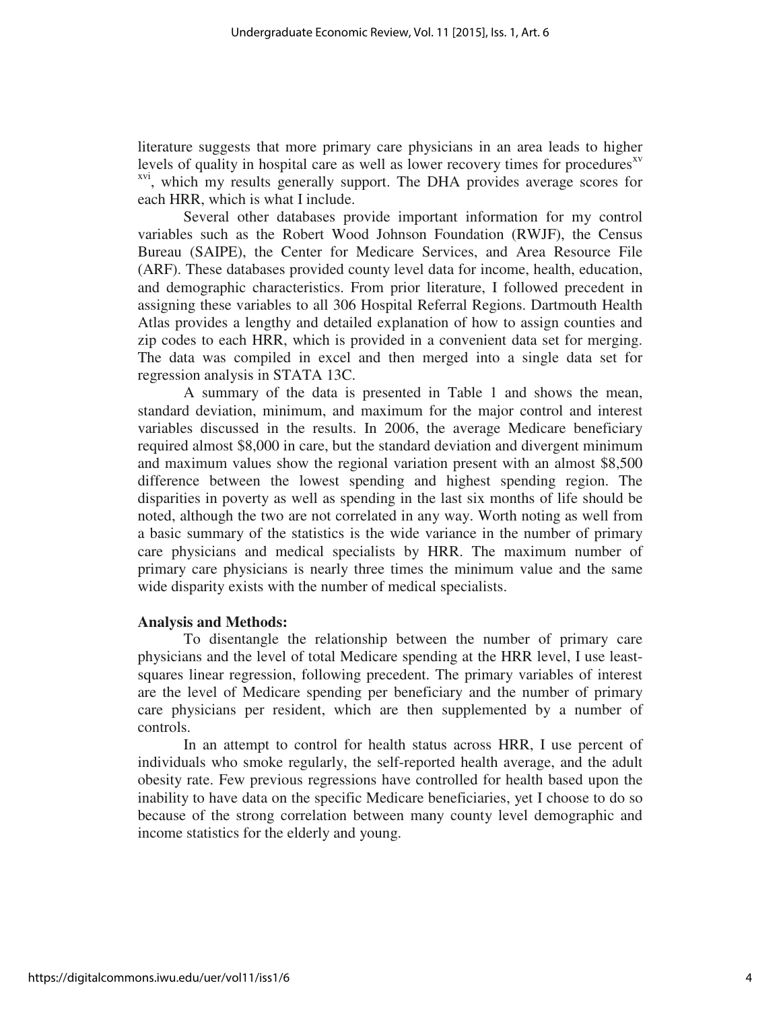literature suggests that more primary care physicians in an area leads to higher levels of quality in hospital care as well as lower recovery times for procedures $x<sup>x<sub>y</sub></sup>$ <sup>xvi</sup>, which my results generally support. The DHA provides average scores for each HRR, which is what I include.

 Several other databases provide important information for my control variables such as the Robert Wood Johnson Foundation (RWJF), the Census Bureau (SAIPE), the Center for Medicare Services, and Area Resource File (ARF). These databases provided county level data for income, health, education, and demographic characteristics. From prior literature, I followed precedent in assigning these variables to all 306 Hospital Referral Regions. Dartmouth Health Atlas provides a lengthy and detailed explanation of how to assign counties and zip codes to each HRR, which is provided in a convenient data set for merging. The data was compiled in excel and then merged into a single data set for regression analysis in STATA 13C.

 A summary of the data is presented in Table 1 and shows the mean, standard deviation, minimum, and maximum for the major control and interest variables discussed in the results. In 2006, the average Medicare beneficiary required almost \$8,000 in care, but the standard deviation and divergent minimum and maximum values show the regional variation present with an almost \$8,500 difference between the lowest spending and highest spending region. The disparities in poverty as well as spending in the last six months of life should be noted, although the two are not correlated in any way. Worth noting as well from a basic summary of the statistics is the wide variance in the number of primary care physicians and medical specialists by HRR. The maximum number of primary care physicians is nearly three times the minimum value and the same wide disparity exists with the number of medical specialists.

#### **Analysis and Methods:**

To disentangle the relationship between the number of primary care physicians and the level of total Medicare spending at the HRR level, I use leastsquares linear regression, following precedent. The primary variables of interest are the level of Medicare spending per beneficiary and the number of primary care physicians per resident, which are then supplemented by a number of controls.

In an attempt to control for health status across HRR, I use percent of individuals who smoke regularly, the self-reported health average, and the adult obesity rate. Few previous regressions have controlled for health based upon the inability to have data on the specific Medicare beneficiaries, yet I choose to do so because of the strong correlation between many county level demographic and income statistics for the elderly and young.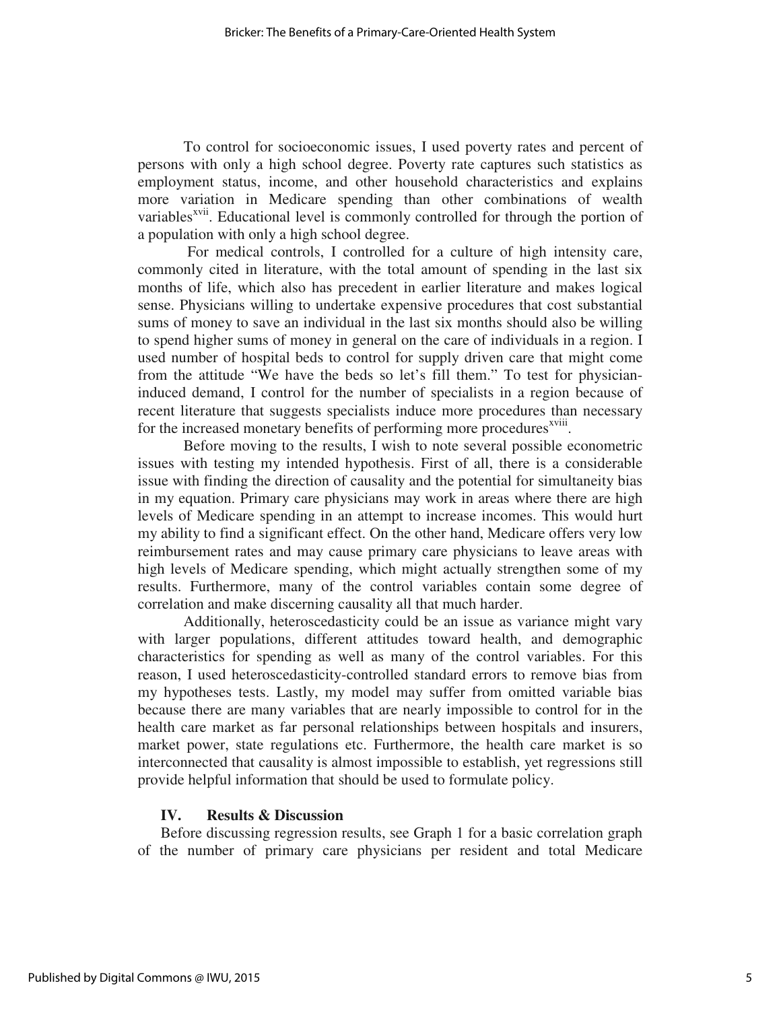To control for socioeconomic issues, I used poverty rates and percent of persons with only a high school degree. Poverty rate captures such statistics as employment status, income, and other household characteristics and explains more variation in Medicare spending than other combinations of wealth variables<sup>xvii</sup>. Educational level is commonly controlled for through the portion of a population with only a high school degree.

 For medical controls, I controlled for a culture of high intensity care, commonly cited in literature, with the total amount of spending in the last six months of life, which also has precedent in earlier literature and makes logical sense. Physicians willing to undertake expensive procedures that cost substantial sums of money to save an individual in the last six months should also be willing to spend higher sums of money in general on the care of individuals in a region. I used number of hospital beds to control for supply driven care that might come from the attitude "We have the beds so let's fill them." To test for physicianinduced demand, I control for the number of specialists in a region because of recent literature that suggests specialists induce more procedures than necessary for the increased monetary benefits of performing more procedures<sup>xviii</sup>.

Before moving to the results, I wish to note several possible econometric issues with testing my intended hypothesis. First of all, there is a considerable issue with finding the direction of causality and the potential for simultaneity bias in my equation. Primary care physicians may work in areas where there are high levels of Medicare spending in an attempt to increase incomes. This would hurt my ability to find a significant effect. On the other hand, Medicare offers very low reimbursement rates and may cause primary care physicians to leave areas with high levels of Medicare spending, which might actually strengthen some of my results. Furthermore, many of the control variables contain some degree of correlation and make discerning causality all that much harder.

Additionally, heteroscedasticity could be an issue as variance might vary with larger populations, different attitudes toward health, and demographic characteristics for spending as well as many of the control variables. For this reason, I used heteroscedasticity-controlled standard errors to remove bias from my hypotheses tests. Lastly, my model may suffer from omitted variable bias because there are many variables that are nearly impossible to control for in the health care market as far personal relationships between hospitals and insurers, market power, state regulations etc. Furthermore, the health care market is so interconnected that causality is almost impossible to establish, yet regressions still provide helpful information that should be used to formulate policy.

#### **IV. Results & Discussion**

Before discussing regression results, see Graph 1 for a basic correlation graph of the number of primary care physicians per resident and total Medicare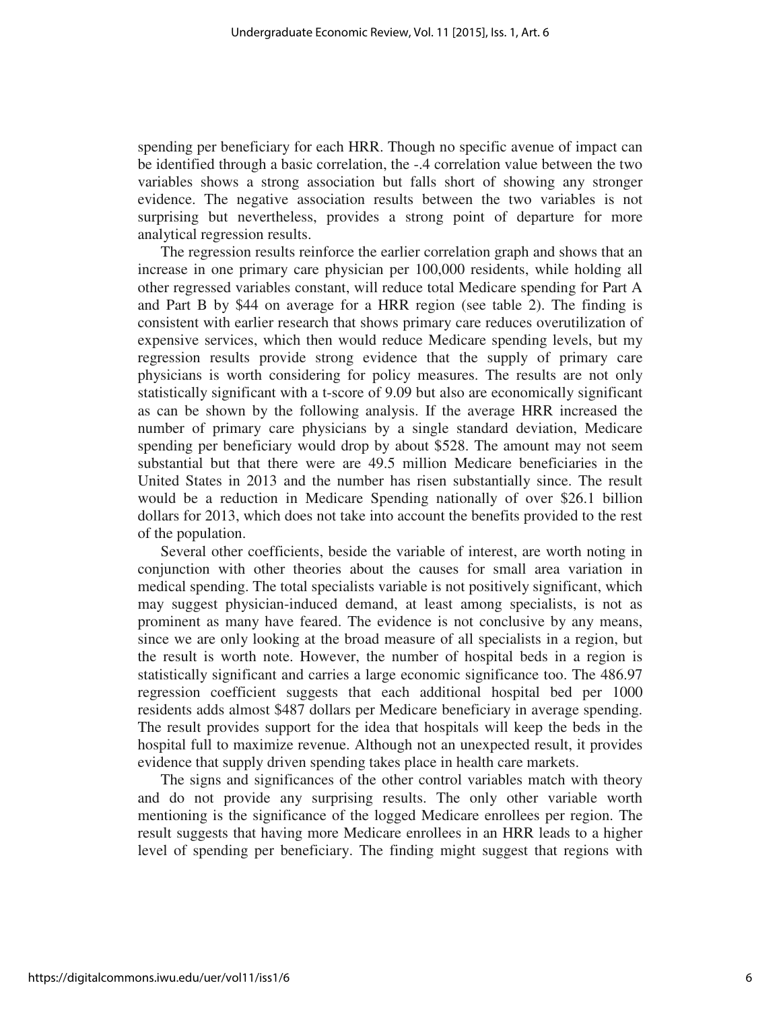spending per beneficiary for each HRR. Though no specific avenue of impact can be identified through a basic correlation, the -.4 correlation value between the two variables shows a strong association but falls short of showing any stronger evidence. The negative association results between the two variables is not surprising but nevertheless, provides a strong point of departure for more analytical regression results.

The regression results reinforce the earlier correlation graph and shows that an increase in one primary care physician per 100,000 residents, while holding all other regressed variables constant, will reduce total Medicare spending for Part A and Part B by \$44 on average for a HRR region (see table 2). The finding is consistent with earlier research that shows primary care reduces overutilization of expensive services, which then would reduce Medicare spending levels, but my regression results provide strong evidence that the supply of primary care physicians is worth considering for policy measures. The results are not only statistically significant with a t-score of 9.09 but also are economically significant as can be shown by the following analysis. If the average HRR increased the number of primary care physicians by a single standard deviation, Medicare spending per beneficiary would drop by about \$528. The amount may not seem substantial but that there were are 49.5 million Medicare beneficiaries in the United States in 2013 and the number has risen substantially since. The result would be a reduction in Medicare Spending nationally of over \$26.1 billion dollars for 2013, which does not take into account the benefits provided to the rest of the population.

Several other coefficients, beside the variable of interest, are worth noting in conjunction with other theories about the causes for small area variation in medical spending. The total specialists variable is not positively significant, which may suggest physician-induced demand, at least among specialists, is not as prominent as many have feared. The evidence is not conclusive by any means, since we are only looking at the broad measure of all specialists in a region, but the result is worth note. However, the number of hospital beds in a region is statistically significant and carries a large economic significance too. The 486.97 regression coefficient suggests that each additional hospital bed per 1000 residents adds almost \$487 dollars per Medicare beneficiary in average spending. The result provides support for the idea that hospitals will keep the beds in the hospital full to maximize revenue. Although not an unexpected result, it provides evidence that supply driven spending takes place in health care markets.

The signs and significances of the other control variables match with theory and do not provide any surprising results. The only other variable worth mentioning is the significance of the logged Medicare enrollees per region. The result suggests that having more Medicare enrollees in an HRR leads to a higher level of spending per beneficiary. The finding might suggest that regions with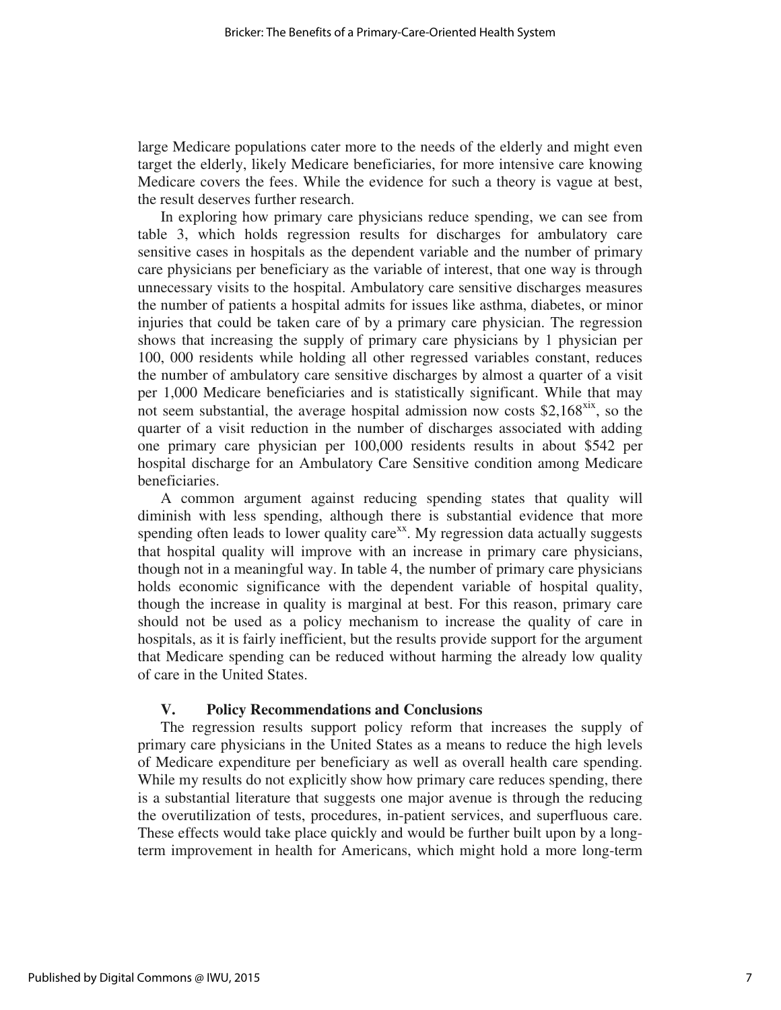large Medicare populations cater more to the needs of the elderly and might even target the elderly, likely Medicare beneficiaries, for more intensive care knowing Medicare covers the fees. While the evidence for such a theory is vague at best, the result deserves further research.

In exploring how primary care physicians reduce spending, we can see from table 3, which holds regression results for discharges for ambulatory care sensitive cases in hospitals as the dependent variable and the number of primary care physicians per beneficiary as the variable of interest, that one way is through unnecessary visits to the hospital. Ambulatory care sensitive discharges measures the number of patients a hospital admits for issues like asthma, diabetes, or minor injuries that could be taken care of by a primary care physician. The regression shows that increasing the supply of primary care physicians by 1 physician per 100, 000 residents while holding all other regressed variables constant, reduces the number of ambulatory care sensitive discharges by almost a quarter of a visit per 1,000 Medicare beneficiaries and is statistically significant. While that may not seem substantial, the average hospital admission now costs \$2,168 $\frac{X}{X}$ , so the quarter of a visit reduction in the number of discharges associated with adding one primary care physician per 100,000 residents results in about \$542 per hospital discharge for an Ambulatory Care Sensitive condition among Medicare beneficiaries.

A common argument against reducing spending states that quality will diminish with less spending, although there is substantial evidence that more spending often leads to lower quality care<sup>xx</sup>. My regression data actually suggests that hospital quality will improve with an increase in primary care physicians, though not in a meaningful way. In table 4, the number of primary care physicians holds economic significance with the dependent variable of hospital quality, though the increase in quality is marginal at best. For this reason, primary care should not be used as a policy mechanism to increase the quality of care in hospitals, as it is fairly inefficient, but the results provide support for the argument that Medicare spending can be reduced without harming the already low quality of care in the United States.

#### **V. Policy Recommendations and Conclusions**

The regression results support policy reform that increases the supply of primary care physicians in the United States as a means to reduce the high levels of Medicare expenditure per beneficiary as well as overall health care spending. While my results do not explicitly show how primary care reduces spending, there is a substantial literature that suggests one major avenue is through the reducing the overutilization of tests, procedures, in-patient services, and superfluous care. These effects would take place quickly and would be further built upon by a longterm improvement in health for Americans, which might hold a more long-term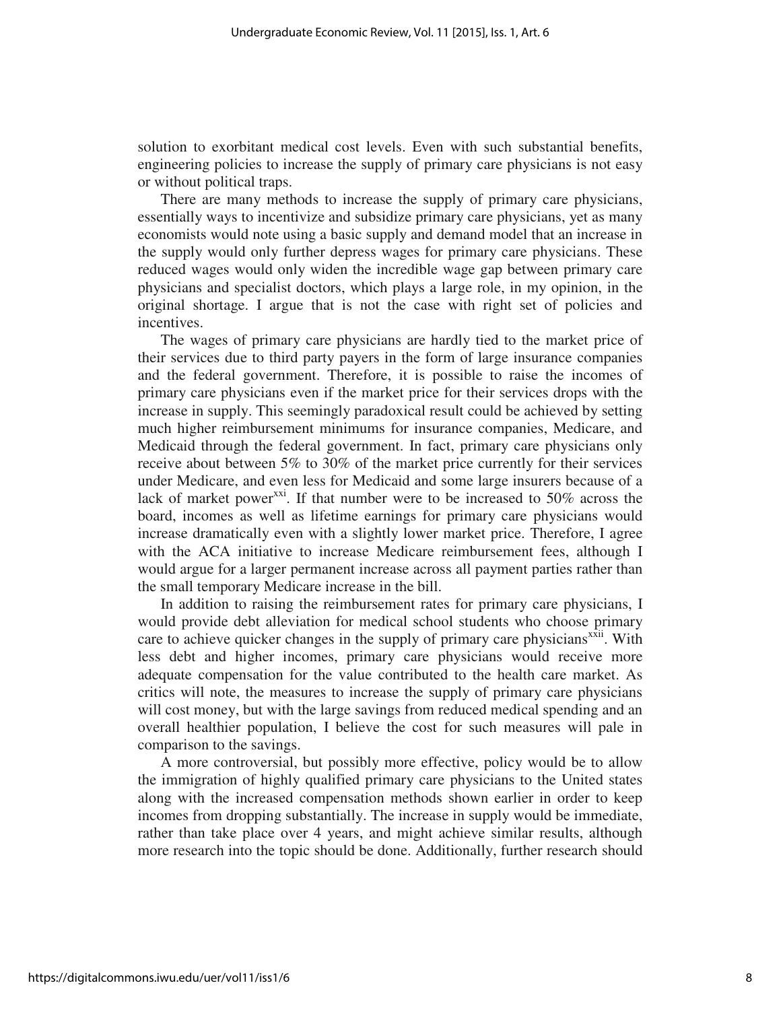solution to exorbitant medical cost levels. Even with such substantial benefits, engineering policies to increase the supply of primary care physicians is not easy or without political traps.

There are many methods to increase the supply of primary care physicians, essentially ways to incentivize and subsidize primary care physicians, yet as many economists would note using a basic supply and demand model that an increase in the supply would only further depress wages for primary care physicians. These reduced wages would only widen the incredible wage gap between primary care physicians and specialist doctors, which plays a large role, in my opinion, in the original shortage. I argue that is not the case with right set of policies and incentives.

The wages of primary care physicians are hardly tied to the market price of their services due to third party payers in the form of large insurance companies and the federal government. Therefore, it is possible to raise the incomes of primary care physicians even if the market price for their services drops with the increase in supply. This seemingly paradoxical result could be achieved by setting much higher reimbursement minimums for insurance companies, Medicare, and Medicaid through the federal government. In fact, primary care physicians only receive about between 5% to 30% of the market price currently for their services under Medicare, and even less for Medicaid and some large insurers because of a lack of market power<sup>xxi</sup>. If that number were to be increased to 50% across the board, incomes as well as lifetime earnings for primary care physicians would increase dramatically even with a slightly lower market price. Therefore, I agree with the ACA initiative to increase Medicare reimbursement fees, although I would argue for a larger permanent increase across all payment parties rather than the small temporary Medicare increase in the bill.

In addition to raising the reimbursement rates for primary care physicians, I would provide debt alleviation for medical school students who choose primary care to achieve quicker changes in the supply of primary care physicians<sup>xxii</sup>. With less debt and higher incomes, primary care physicians would receive more adequate compensation for the value contributed to the health care market. As critics will note, the measures to increase the supply of primary care physicians will cost money, but with the large savings from reduced medical spending and an overall healthier population, I believe the cost for such measures will pale in comparison to the savings.

A more controversial, but possibly more effective, policy would be to allow the immigration of highly qualified primary care physicians to the United states along with the increased compensation methods shown earlier in order to keep incomes from dropping substantially. The increase in supply would be immediate, rather than take place over 4 years, and might achieve similar results, although more research into the topic should be done. Additionally, further research should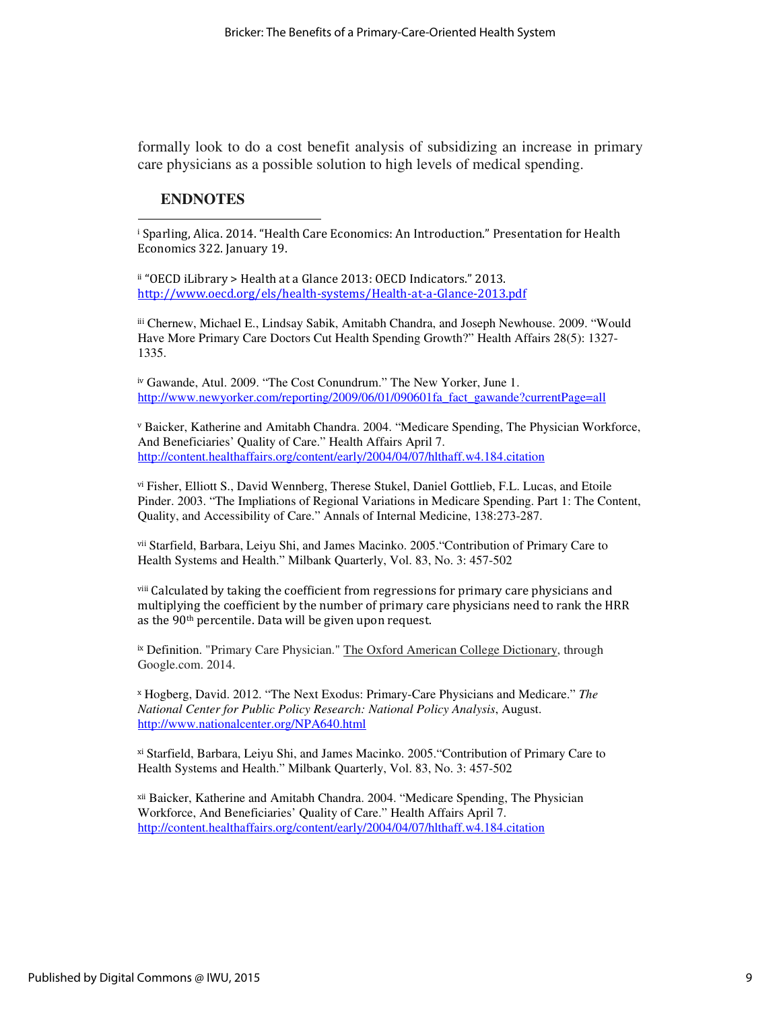formally look to do a cost benefit analysis of subsidizing an increase in primary care physicians as a possible solution to high levels of medical spending.

#### **ENDNOTES**

 $\overline{a}$ 

i Sparling, Alica. 2014. "Health Care Economics: An Introduction." Presentation for Health Economics 322. January 19.

ii "OECD iLibrary > Health at a Glance 2013: OECD Indicators." 2013. http://www.oecd.org/els/health-systems/Health-at-a-Glance-2013.pdf

iii Chernew, Michael E., Lindsay Sabik, Amitabh Chandra, and Joseph Newhouse. 2009. "Would Have More Primary Care Doctors Cut Health Spending Growth?" Health Affairs 28(5): 1327- 1335.

iv Gawande, Atul. 2009. "The Cost Conundrum." The New Yorker, June 1. http://www.newyorker.com/reporting/2009/06/01/090601fa\_fact\_gawande?currentPage=all

<sup>v</sup> Baicker, Katherine and Amitabh Chandra. 2004. "Medicare Spending, The Physician Workforce, And Beneficiaries' Quality of Care." Health Affairs April 7. http://content.healthaffairs.org/content/early/2004/04/07/hlthaff.w4.184.citation

vi Fisher, Elliott S., David Wennberg, Therese Stukel, Daniel Gottlieb, F.L. Lucas, and Etoile Pinder. 2003. "The Impliations of Regional Variations in Medicare Spending. Part 1: The Content, Quality, and Accessibility of Care." Annals of Internal Medicine, 138:273-287.

vii Starfield, Barbara, Leiyu Shi, and James Macinko. 2005."Contribution of Primary Care to Health Systems and Health." Milbank Quarterly, Vol. 83, No. 3: 457-502

viii Calculated by taking the coefficient from regressions for primary care physicians and multiplying the coefficient by the number of primary care physicians need to rank the HRR as the 90th percentile. Data will be given upon request.

ix Definition. "Primary Care Physician." The Oxford American College Dictionary, through Google.com. 2014.

<sup>x</sup> Hogberg, David. 2012. "The Next Exodus: Primary-Care Physicians and Medicare." *The National Center for Public Policy Research: National Policy Analysis*, August. http://www.nationalcenter.org/NPA640.html

xi Starfield, Barbara, Leiyu Shi, and James Macinko. 2005."Contribution of Primary Care to Health Systems and Health." Milbank Quarterly, Vol. 83, No. 3: 457-502

xii Baicker, Katherine and Amitabh Chandra. 2004. "Medicare Spending, The Physician Workforce, And Beneficiaries' Quality of Care." Health Affairs April 7. http://content.healthaffairs.org/content/early/2004/04/07/hlthaff.w4.184.citation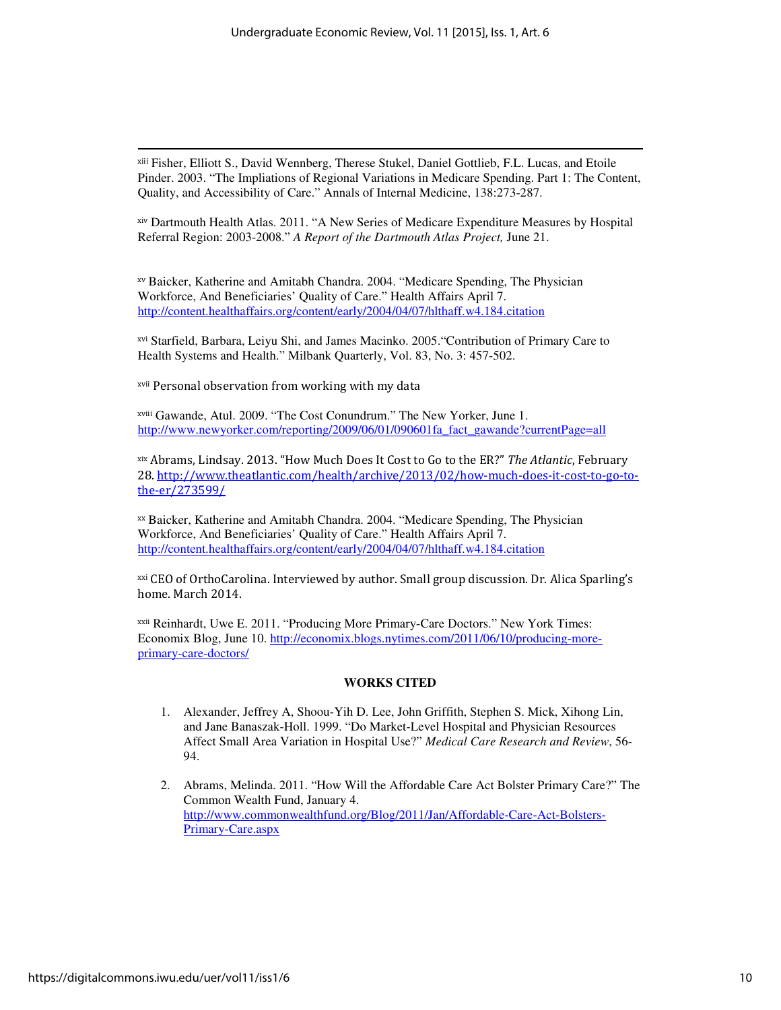xiii Fisher, Elliott S., David Wennberg, Therese Stukel, Daniel Gottlieb, F.L. Lucas, and Etoile Pinder. 2003. "The Impliations of Regional Variations in Medicare Spending. Part 1: The Content, Quality, and Accessibility of Care." Annals of Internal Medicine, 138:273-287.

xiv Dartmouth Health Atlas. 2011. "A New Series of Medicare Expenditure Measures by Hospital Referral Region: 2003-2008." *A Report of the Dartmouth Atlas Project,* June 21.

xv Baicker, Katherine and Amitabh Chandra. 2004. "Medicare Spending, The Physician Workforce, And Beneficiaries' Quality of Care." Health Affairs April 7. http://content.healthaffairs.org/content/early/2004/04/07/hlthaff.w4.184.citation

xvi Starfield, Barbara, Leiyu Shi, and James Macinko. 2005."Contribution of Primary Care to Health Systems and Health." Milbank Quarterly, Vol. 83, No. 3: 457-502.

xvii Personal observation from working with my data

xviii Gawande, Atul. 2009. "The Cost Conundrum." The New Yorker, June 1. http://www.newyorker.com/reporting/2009/06/01/090601fa\_fact\_gawande?currentPage=all

xix Abrams, Lindsay. 2013. "How Much Does It Cost to Go to the ER?" The Atlantic, February 28. http://www.theatlantic.com/health/archive/2013/02/how-much-does-it-cost-to-go-tothe-er/273599/

xx Baicker, Katherine and Amitabh Chandra. 2004. "Medicare Spending, The Physician Workforce, And Beneficiaries' Quality of Care." Health Affairs April 7. http://content.healthaffairs.org/content/early/2004/04/07/hlthaff.w4.184.citation

xxi CEO of OrthoCarolina. Interviewed by author. Small group discussion. Dr. Alica Sparling's home. March 2014.

xxii Reinhardt, Uwe E. 2011. "Producing More Primary-Care Doctors." New York Times: Economix Blog, June 10. http://economix.blogs.nytimes.com/2011/06/10/producing-moreprimary-care-doctors/

#### **WORKS CITED**

- 1. Alexander, Jeffrey A, Shoou-Yih D. Lee, John Griffith, Stephen S. Mick, Xihong Lin, and Jane Banaszak-Holl. 1999. "Do Market-Level Hospital and Physician Resources Affect Small Area Variation in Hospital Use?" *Medical Care Research and Review*, 56- 94.
- 2. Abrams, Melinda. 2011. "How Will the Affordable Care Act Bolster Primary Care?" The Common Wealth Fund, January 4. http://www.commonwealthfund.org/Blog/2011/Jan/Affordable-Care-Act-Bolsters-Primary-Care.aspx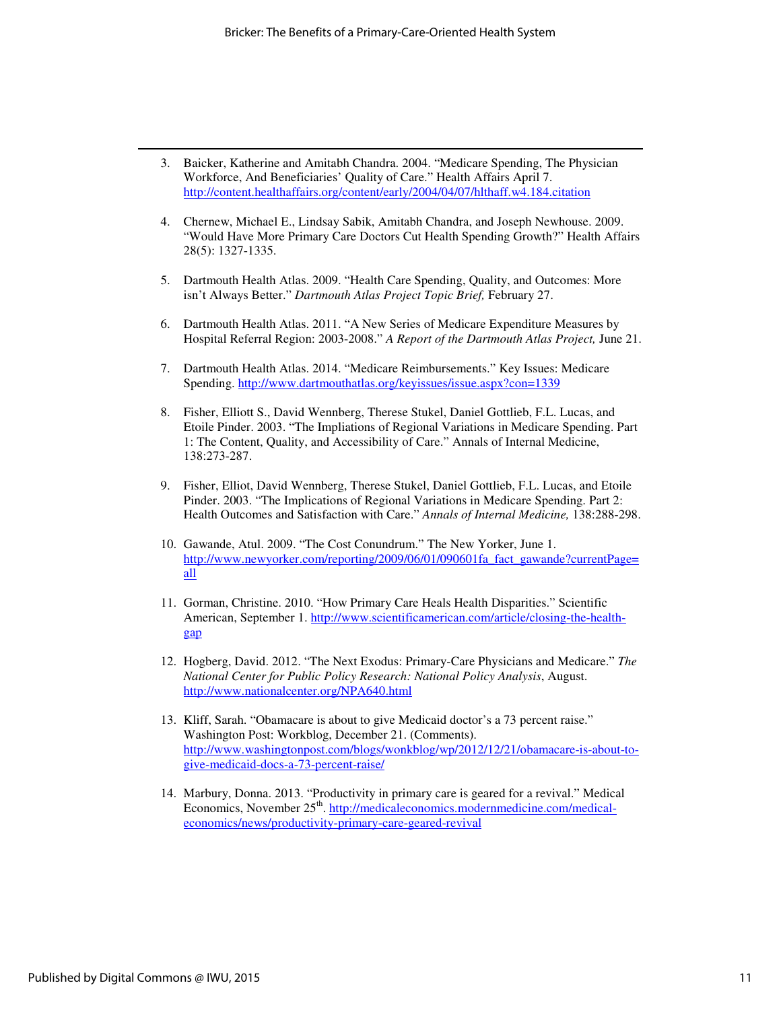- 3. Baicker, Katherine and Amitabh Chandra. 2004. "Medicare Spending, The Physician Workforce, And Beneficiaries' Quality of Care." Health Affairs April 7. http://content.healthaffairs.org/content/early/2004/04/07/hlthaff.w4.184.citation
- 4. Chernew, Michael E., Lindsay Sabik, Amitabh Chandra, and Joseph Newhouse. 2009. "Would Have More Primary Care Doctors Cut Health Spending Growth?" Health Affairs 28(5): 1327-1335.
- 5. Dartmouth Health Atlas. 2009. "Health Care Spending, Quality, and Outcomes: More isn't Always Better." *Dartmouth Atlas Project Topic Brief,* February 27.
- 6. Dartmouth Health Atlas. 2011. "A New Series of Medicare Expenditure Measures by Hospital Referral Region: 2003-2008." *A Report of the Dartmouth Atlas Project,* June 21.
- 7. Dartmouth Health Atlas. 2014. "Medicare Reimbursements." Key Issues: Medicare Spending. http://www.dartmouthatlas.org/keyissues/issue.aspx?con=1339
- 8. Fisher, Elliott S., David Wennberg, Therese Stukel, Daniel Gottlieb, F.L. Lucas, and Etoile Pinder. 2003. "The Impliations of Regional Variations in Medicare Spending. Part 1: The Content, Quality, and Accessibility of Care." Annals of Internal Medicine, 138:273-287.
- 9. Fisher, Elliot, David Wennberg, Therese Stukel, Daniel Gottlieb, F.L. Lucas, and Etoile Pinder. 2003. "The Implications of Regional Variations in Medicare Spending. Part 2: Health Outcomes and Satisfaction with Care." *Annals of Internal Medicine,* 138:288-298.
- 10. Gawande, Atul. 2009. "The Cost Conundrum." The New Yorker, June 1. http://www.newyorker.com/reporting/2009/06/01/090601fa\_fact\_gawande?currentPage= all
- 11. Gorman, Christine. 2010. "How Primary Care Heals Health Disparities." Scientific American, September 1. http://www.scientificamerican.com/article/closing-the-healthgap
- 12. Hogberg, David. 2012. "The Next Exodus: Primary-Care Physicians and Medicare." *The National Center for Public Policy Research: National Policy Analysis*, August. http://www.nationalcenter.org/NPA640.html
- 13. Kliff, Sarah. "Obamacare is about to give Medicaid doctor's a 73 percent raise." Washington Post: Workblog, December 21. (Comments). http://www.washingtonpost.com/blogs/wonkblog/wp/2012/12/21/obamacare-is-about-togive-medicaid-docs-a-73-percent-raise/
- 14. Marbury, Donna. 2013. "Productivity in primary care is geared for a revival." Medical Economics, November 25<sup>th</sup>. http://medicaleconomics.modernmedicine.com/medicaleconomics/news/productivity-primary-care-geared-revival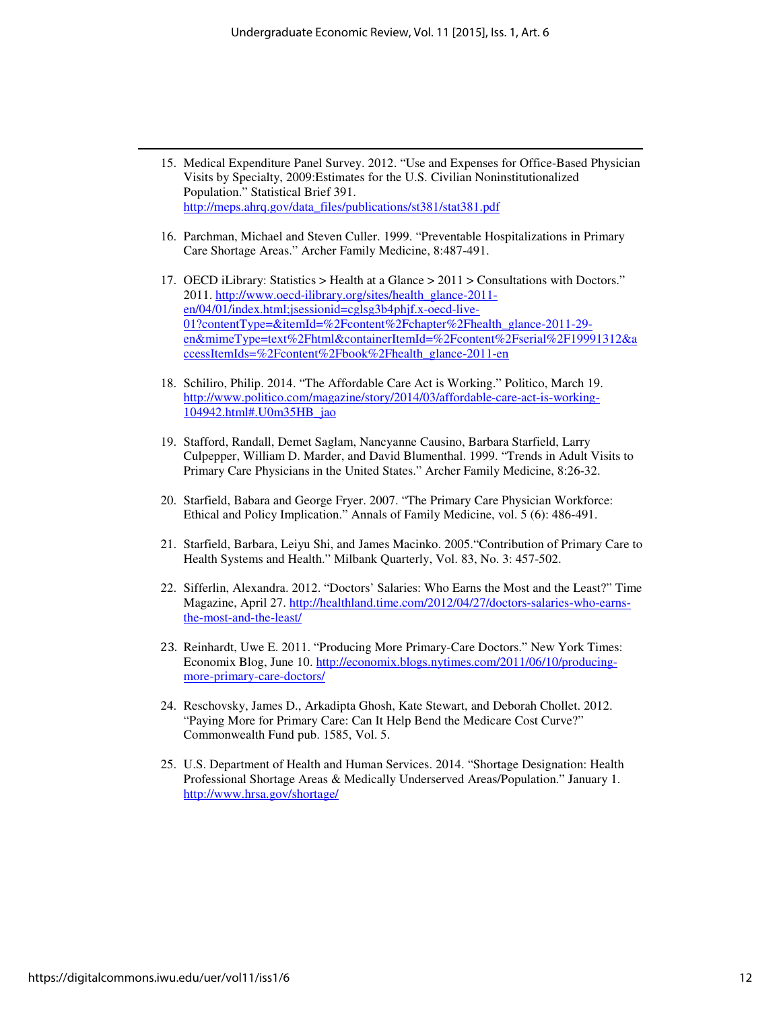- 15. Medical Expenditure Panel Survey. 2012. "Use and Expenses for Office-Based Physician Visits by Specialty, 2009:Estimates for the U.S. Civilian Noninstitutionalized Population." Statistical Brief 391. http://meps.ahrq.gov/data\_files/publications/st381/stat381.pdf
- 16. Parchman, Michael and Steven Culler. 1999. "Preventable Hospitalizations in Primary Care Shortage Areas." Archer Family Medicine, 8:487-491.
- 17. OECD iLibrary: Statistics > Health at a Glance > 2011 > Consultations with Doctors." 2011. http://www.oecd-ilibrary.org/sites/health\_glance-2011 en/04/01/index.html;jsessionid=cglsg3b4phjf.x-oecd-live-01?contentType=&itemId=%2Fcontent%2Fchapter%2Fhealth\_glance-2011-29en&mimeType=text%2Fhtml&containerItemId=%2Fcontent%2Fserial%2F19991312&a ccessItemIds=%2Fcontent%2Fbook%2Fhealth\_glance-2011-en
- 18. Schiliro, Philip. 2014. "The Affordable Care Act is Working." Politico, March 19. http://www.politico.com/magazine/story/2014/03/affordable-care-act-is-working-104942.html#.U0m35HB\_jao
- 19. Stafford, Randall, Demet Saglam, Nancyanne Causino, Barbara Starfield, Larry Culpepper, William D. Marder, and David Blumenthal. 1999. "Trends in Adult Visits to Primary Care Physicians in the United States." Archer Family Medicine, 8:26-32.
- 20. Starfield, Babara and George Fryer. 2007. "The Primary Care Physician Workforce: Ethical and Policy Implication." Annals of Family Medicine, vol. 5 (6): 486-491.
- 21. Starfield, Barbara, Leiyu Shi, and James Macinko. 2005."Contribution of Primary Care to Health Systems and Health." Milbank Quarterly, Vol. 83, No. 3: 457-502.
- 22. Sifferlin, Alexandra. 2012. "Doctors' Salaries: Who Earns the Most and the Least?" Time Magazine, April 27. http://healthland.time.com/2012/04/27/doctors-salaries-who-earnsthe-most-and-the-least/
- 23. Reinhardt, Uwe E. 2011. "Producing More Primary-Care Doctors." New York Times: Economix Blog, June 10. http://economix.blogs.nytimes.com/2011/06/10/producingmore-primary-care-doctors/
- 24. Reschovsky, James D., Arkadipta Ghosh, Kate Stewart, and Deborah Chollet. 2012. "Paying More for Primary Care: Can It Help Bend the Medicare Cost Curve?" Commonwealth Fund pub. 1585, Vol. 5.
- 25. U.S. Department of Health and Human Services. 2014. "Shortage Designation: Health Professional Shortage Areas & Medically Underserved Areas/Population." January 1. http://www.hrsa.gov/shortage/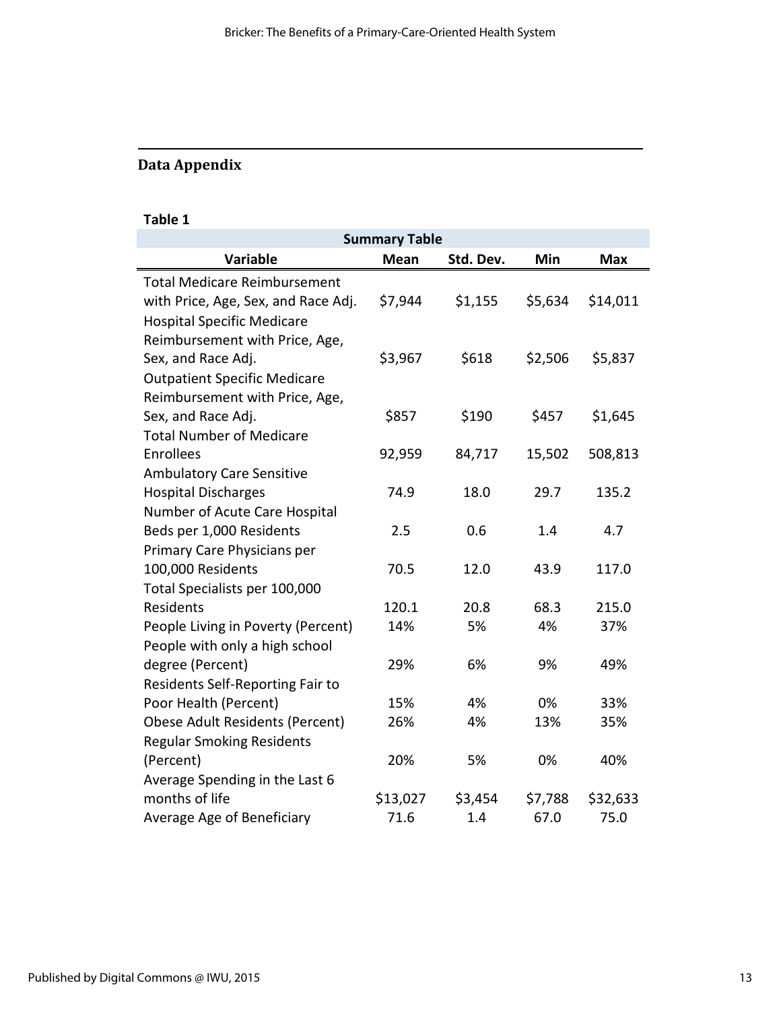# Data Appendix

# Table 1

|                                     | <b>Summary Table</b> |           |         |            |
|-------------------------------------|----------------------|-----------|---------|------------|
| <b>Variable</b>                     | <b>Mean</b>          | Std. Dev. | Min     | <b>Max</b> |
| <b>Total Medicare Reimbursement</b> |                      |           |         |            |
| with Price, Age, Sex, and Race Adj. | \$7,944              | \$1,155   | \$5,634 | \$14,011   |
| <b>Hospital Specific Medicare</b>   |                      |           |         |            |
| Reimbursement with Price, Age,      |                      |           |         |            |
| Sex, and Race Adj.                  | \$3,967              | \$618     | \$2,506 | \$5,837    |
| <b>Outpatient Specific Medicare</b> |                      |           |         |            |
| Reimbursement with Price, Age,      |                      |           |         |            |
| Sex, and Race Adj.                  | \$857                | \$190     | \$457   | \$1,645    |
| <b>Total Number of Medicare</b>     |                      |           |         |            |
| Enrollees                           | 92,959               | 84,717    | 15,502  | 508,813    |
| <b>Ambulatory Care Sensitive</b>    |                      |           |         |            |
| <b>Hospital Discharges</b>          | 74.9                 | 18.0      | 29.7    | 135.2      |
| Number of Acute Care Hospital       |                      |           |         |            |
| Beds per 1,000 Residents            | 2.5                  | 0.6       | 1.4     | 4.7        |
| Primary Care Physicians per         |                      |           |         |            |
| 100,000 Residents                   | 70.5                 | 12.0      | 43.9    | 117.0      |
| Total Specialists per 100,000       |                      |           |         |            |
| Residents                           | 120.1                | 20.8      | 68.3    | 215.0      |
| People Living in Poverty (Percent)  | 14%                  | 5%        | 4%      | 37%        |
| People with only a high school      |                      |           |         |            |
| degree (Percent)                    | 29%                  | 6%        | 9%      | 49%        |
| Residents Self-Reporting Fair to    |                      |           |         |            |
| Poor Health (Percent)               | 15%                  | 4%        | 0%      | 33%        |
| Obese Adult Residents (Percent)     | 26%                  | 4%        | 13%     | 35%        |
| <b>Regular Smoking Residents</b>    |                      |           |         |            |
| (Percent)                           | 20%                  | 5%        | 0%      | 40%        |
| Average Spending in the Last 6      |                      |           |         |            |
| months of life                      | \$13,027             | \$3,454   | \$7,788 | \$32,633   |
| Average Age of Beneficiary          | 71.6                 | 1.4       | 67.0    | 75.0       |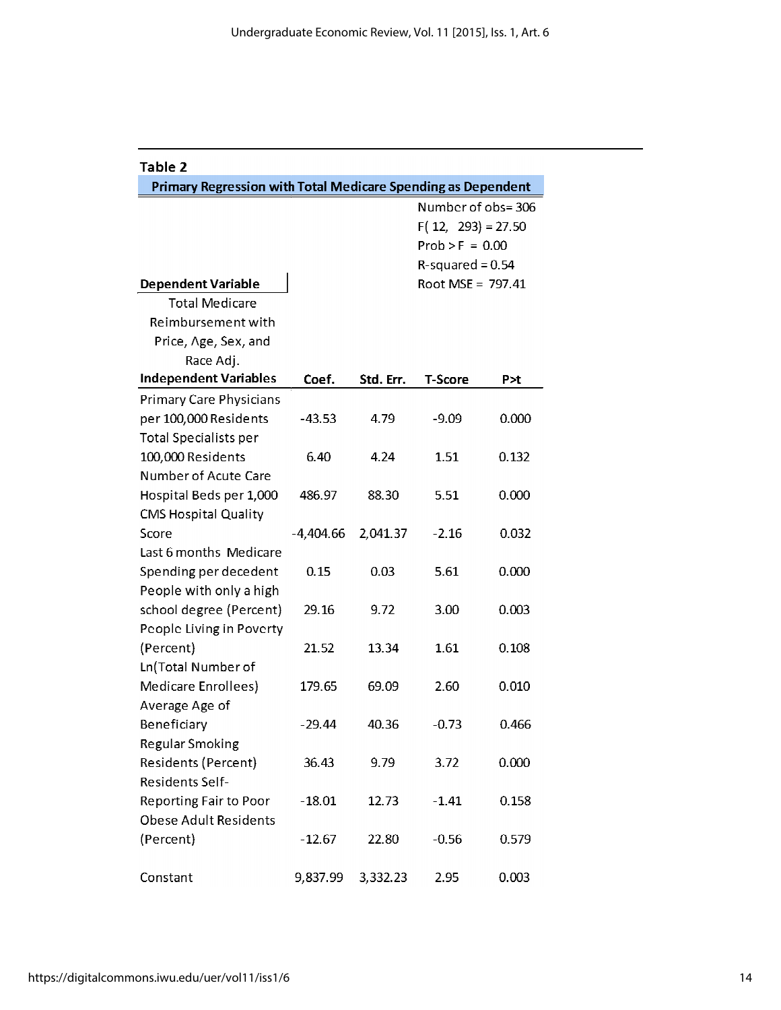| Table 2                                                      |             |           |                   |                      |  |
|--------------------------------------------------------------|-------------|-----------|-------------------|----------------------|--|
| Primary Regression with Total Medicare Spending as Dependent |             |           |                   |                      |  |
|                                                              |             |           | Number of obs=306 |                      |  |
|                                                              |             |           |                   | $F(12, 293) = 27.50$ |  |
|                                                              |             |           | $Prob > F = 0.00$ |                      |  |
| $R$ -squared = 0.54                                          |             |           |                   |                      |  |
| <b>Dependent Variable</b><br>Root MSE = 797.41               |             |           |                   |                      |  |
| <b>Total Medicare</b>                                        |             |           |                   |                      |  |
| Reimbursement with                                           |             |           |                   |                      |  |
| Price, Age, Sex, and                                         |             |           |                   |                      |  |
| Race Adj.                                                    |             |           |                   |                      |  |
| <b>Independent Variables</b>                                 | Coef.       | Std. Err. | <b>T-Score</b>    | P>t                  |  |
| <b>Primary Care Physicians</b>                               |             |           |                   |                      |  |
| per 100,000 Residents                                        | $-43.53$    | 4.79      | $-9.09$           | 0.000                |  |
| <b>Total Specialists per</b>                                 |             |           |                   |                      |  |
| 100,000 Residents                                            | 6.40        | 4.24      | 1.51              | 0.132                |  |
| Number of Acute Care                                         |             |           |                   |                      |  |
| Hospital Beds per 1,000                                      | 486.97      | 88.30     | 5.51              | 0.000                |  |
| <b>CMS Hospital Quality</b>                                  |             |           |                   |                      |  |
| Score                                                        | $-4,404.66$ | 2,041.37  | $-2.16$           | 0.032                |  |
| Last 6 months Medicare                                       |             |           |                   |                      |  |
| Spending per decedent                                        | 0.15        | 0.03      | 5.61              | 0.000                |  |
| People with only a high                                      |             |           |                   |                      |  |
| school degree (Percent)                                      | 29.16       | 9.72      | 3.00              | 0.003                |  |
| People Living in Poverty                                     |             |           |                   |                      |  |
| (Percent)                                                    | 21.52       | 13.34     | 1.61              | 0.108                |  |
| Ln(Total Number of                                           |             |           |                   |                      |  |
| Medicare Enrollees)                                          | 179.65      | 69.09     | 2.60              | 0.010                |  |
| Average Age of                                               |             |           |                   |                      |  |
| <b>Beneficiary</b>                                           | -29.44      | 40.36     | $-0.73$           | 0.466                |  |
| <b>Regular Smoking</b>                                       |             |           |                   |                      |  |
| Residents (Percent)                                          | 36.43       | 9.79      | 3.72              | 0.000                |  |
| Residents Self-                                              |             |           |                   |                      |  |
| Reporting Fair to Poor                                       | $-18.01$    | 12.73     | $-1.41$           | 0.158                |  |
| <b>Obese Adult Residents</b>                                 |             |           |                   |                      |  |
| (Percent)                                                    | $-12.67$    | 22.80     | $-0.56$           | 0.579                |  |
| Constant                                                     | 9,837.99    | 3,332.23  | 2.95              | 0.003                |  |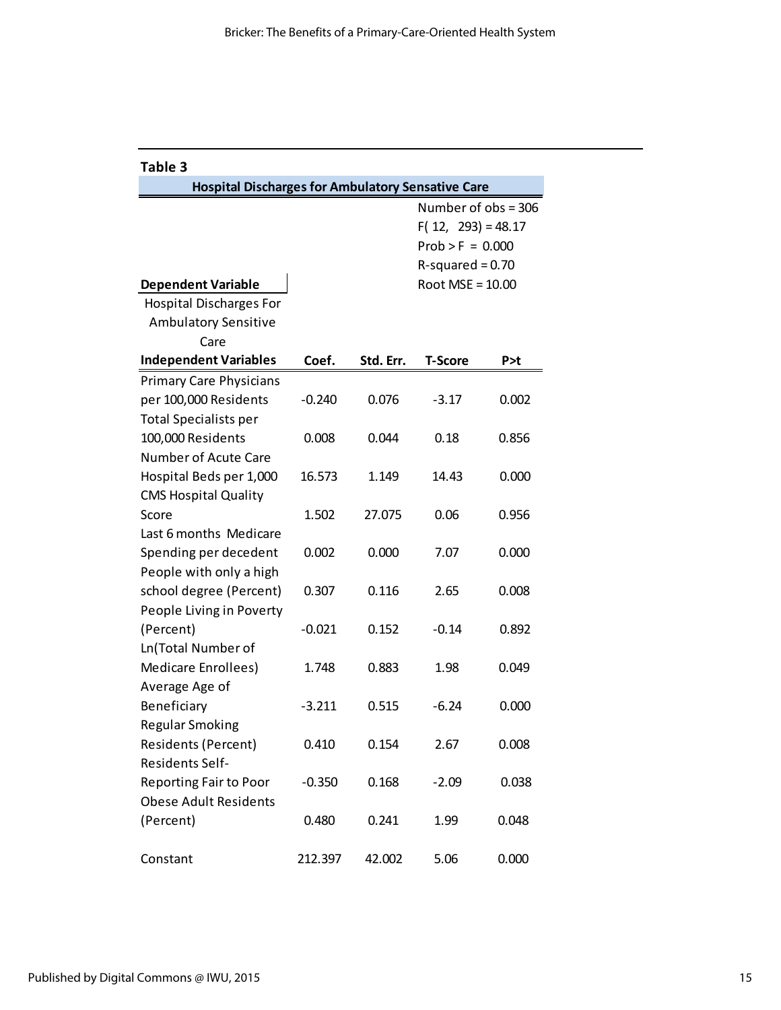| Table 3                                                  |                    |           |                      |       |  |
|----------------------------------------------------------|--------------------|-----------|----------------------|-------|--|
| <b>Hospital Discharges for Ambulatory Sensative Care</b> |                    |           |                      |       |  |
|                                                          |                    |           | Number of obs = 306  |       |  |
|                                                          |                    |           | $F(12, 293) = 48.17$ |       |  |
|                                                          |                    |           | $Prob > F = 0.000$   |       |  |
|                                                          |                    |           | $R$ -squared = 0.70  |       |  |
| <b>Dependent Variable</b>                                | Root $MSE = 10.00$ |           |                      |       |  |
| <b>Hospital Discharges For</b>                           |                    |           |                      |       |  |
| <b>Ambulatory Sensitive</b>                              |                    |           |                      |       |  |
| Care                                                     |                    |           |                      |       |  |
| <b>Independent Variables</b>                             | Coef.              | Std. Err. | <b>T-Score</b>       | P>t   |  |
| <b>Primary Care Physicians</b>                           |                    |           |                      |       |  |
| per 100,000 Residents                                    | $-0.240$           | 0.076     | $-3.17$              | 0.002 |  |
| <b>Total Specialists per</b>                             |                    |           |                      |       |  |
| 100,000 Residents                                        | 0.008              | 0.044     | 0.18                 | 0.856 |  |
| Number of Acute Care                                     |                    |           |                      |       |  |
| Hospital Beds per 1,000                                  | 16.573             | 1.149     | 14.43                | 0.000 |  |
| <b>CMS Hospital Quality</b>                              |                    |           |                      |       |  |
| Score                                                    | 1.502              | 27.075    | 0.06                 | 0.956 |  |
| Last 6 months Medicare                                   |                    |           |                      |       |  |
| Spending per decedent                                    | 0.002              | 0.000     | 7.07                 | 0.000 |  |
| People with only a high                                  |                    |           |                      |       |  |
| school degree (Percent)                                  | 0.307              | 0.116     | 2.65                 | 0.008 |  |
| People Living in Poverty                                 |                    |           |                      |       |  |
| (Percent)                                                | $-0.021$           | 0.152     | $-0.14$              | 0.892 |  |
| Ln(Total Number of                                       |                    |           |                      |       |  |
| Medicare Enrollees)                                      | 1.748              | 0.883     | 1.98                 | 0.049 |  |
| Average Age of                                           |                    |           |                      |       |  |
| Beneficiary                                              | $-3.211$           | 0.515     | $-6.24$              | 0.000 |  |
| Regular Smoking                                          |                    |           |                      |       |  |
| Residents (Percent)                                      | 0.410              | 0.154     | 2.67                 | 0.008 |  |
| <b>Residents Self-</b>                                   |                    |           |                      |       |  |
| Reporting Fair to Poor                                   | $-0.350$           | 0.168     | $-2.09$              | 0.038 |  |
| <b>Obese Adult Residents</b>                             |                    |           |                      |       |  |
| (Percent)                                                | 0.480              | 0.241     | 1.99                 | 0.048 |  |
| Constant                                                 | 212.397            | 42.002    | 5.06                 | 0.000 |  |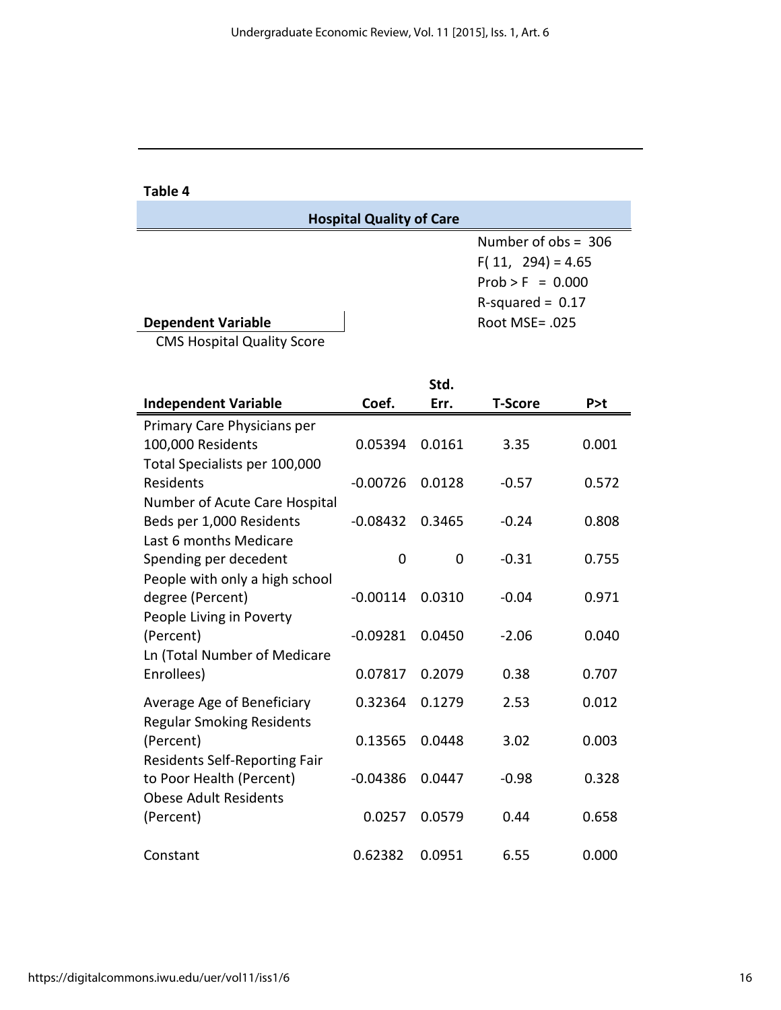Table 4

Ē,

|                                   | <b>Hospital Quality of Care</b> |                       |
|-----------------------------------|---------------------------------|-----------------------|
|                                   |                                 | Number of $obs = 306$ |
|                                   |                                 | $F(11, 294) = 4.65$   |
|                                   |                                 | $Prob > F = 0.000$    |
|                                   |                                 | $R$ -squared = 0.17   |
| <b>Dependent Variable</b>         |                                 | Root MSE= .025        |
| <b>CMS Hospital Quality Score</b> |                                 |                       |

|                                  |            | Std.     |         |       |
|----------------------------------|------------|----------|---------|-------|
| <b>Independent Variable</b>      | Coef.      | Err.     | T-Score | P > t |
| Primary Care Physicians per      |            |          |         |       |
| 100,000 Residents                | 0.05394    | 0.0161   | 3.35    | 0.001 |
| Total Specialists per 100,000    |            |          |         |       |
| Residents                        | $-0.00726$ | 0.0128   | $-0.57$ | 0.572 |
| Number of Acute Care Hospital    |            |          |         |       |
| Beds per 1,000 Residents         | $-0.08432$ | 0.3465   | $-0.24$ | 0.808 |
| Last 6 months Medicare           |            |          |         |       |
| Spending per decedent            | 0          | $\Omega$ | $-0.31$ | 0.755 |
| People with only a high school   |            |          |         |       |
| degree (Percent)                 | $-0.00114$ | 0.0310   | $-0.04$ | 0.971 |
| People Living in Poverty         |            |          |         |       |
| (Percent)                        | $-0.09281$ | 0.0450   | $-2.06$ | 0.040 |
| Ln (Total Number of Medicare     |            |          |         |       |
| Enrollees)                       | 0.07817    | 0.2079   | 0.38    | 0.707 |
| Average Age of Beneficiary       | 0.32364    | 0.1279   | 2.53    | 0.012 |
| <b>Regular Smoking Residents</b> |            |          |         |       |
| (Percent)                        | 0.13565    | 0.0448   | 3.02    | 0.003 |
| Residents Self-Reporting Fair    |            |          |         |       |
| to Poor Health (Percent)         | $-0.04386$ | 0.0447   | $-0.98$ | 0.328 |
| <b>Obese Adult Residents</b>     |            |          |         |       |
| (Percent)                        | 0.0257     | 0.0579   | 0.44    | 0.658 |
|                                  |            |          |         |       |
| Constant                         | 0.62382    | 0.0951   | 6.55    | 0.000 |